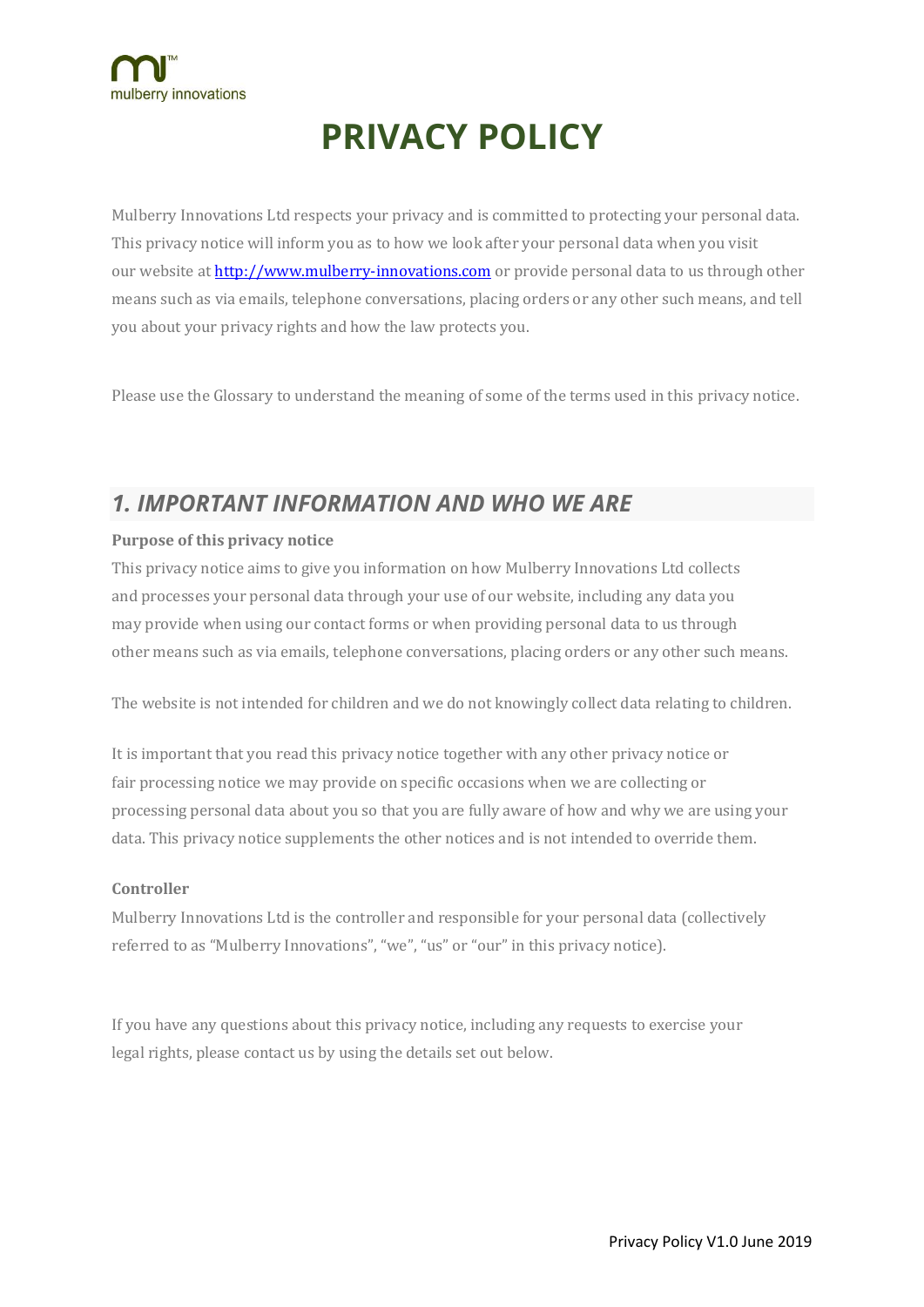

# **PRIVACY POLICY**

Mulberry Innovations Ltd respects your privacy and is committed to protecting your personal data. This privacy notice will inform you as to how we look after your personal data when you visit our website at **http://www.mulberry-innovations.com** or provide personal data to us through other means such as via emails, telephone conversations, placing orders or any other such means, and tell you about your privacy rights and how the law protects you.

Please use the Glossary to understand the meaning of some of the terms used in this privacy notice.

### *1. IMPORTANT [INFORMATION](https://www.ramonhygiene.co.uk/privacy-policy-2/#1534499260682-a64613e2-bd1d) AND WHO WE ARE*

#### **Purpose of this privacy notice**

This privacy notice aims to give you information on how Mulberry Innovations Ltd collects and processes your personal data through your use of our website, including any data you may provide when using our contact forms or when providing personal data to us through other means such as via emails, telephone conversations, placing orders or any other such means.

The website is not intended for children and we do not knowingly collect data relating to children.

It is important that you read this privacy notice together with any other privacy notice or fair processing notice we may provide on specific occasions when we are collecting or processing personal data about you so that you are fully aware of how and why we are using your data. This privacy notice supplements the other notices and is not intended to override them.

#### **Controller**

Mulberry Innovations Ltd is the controller and responsible for your personal data (collectively referred to as "Mulberry Innovations", "we", "us" or "our" in this privacy notice).

If you have any questions about this privacy notice, including any requests to exercise your legal rights, please contact us by using the details set out below.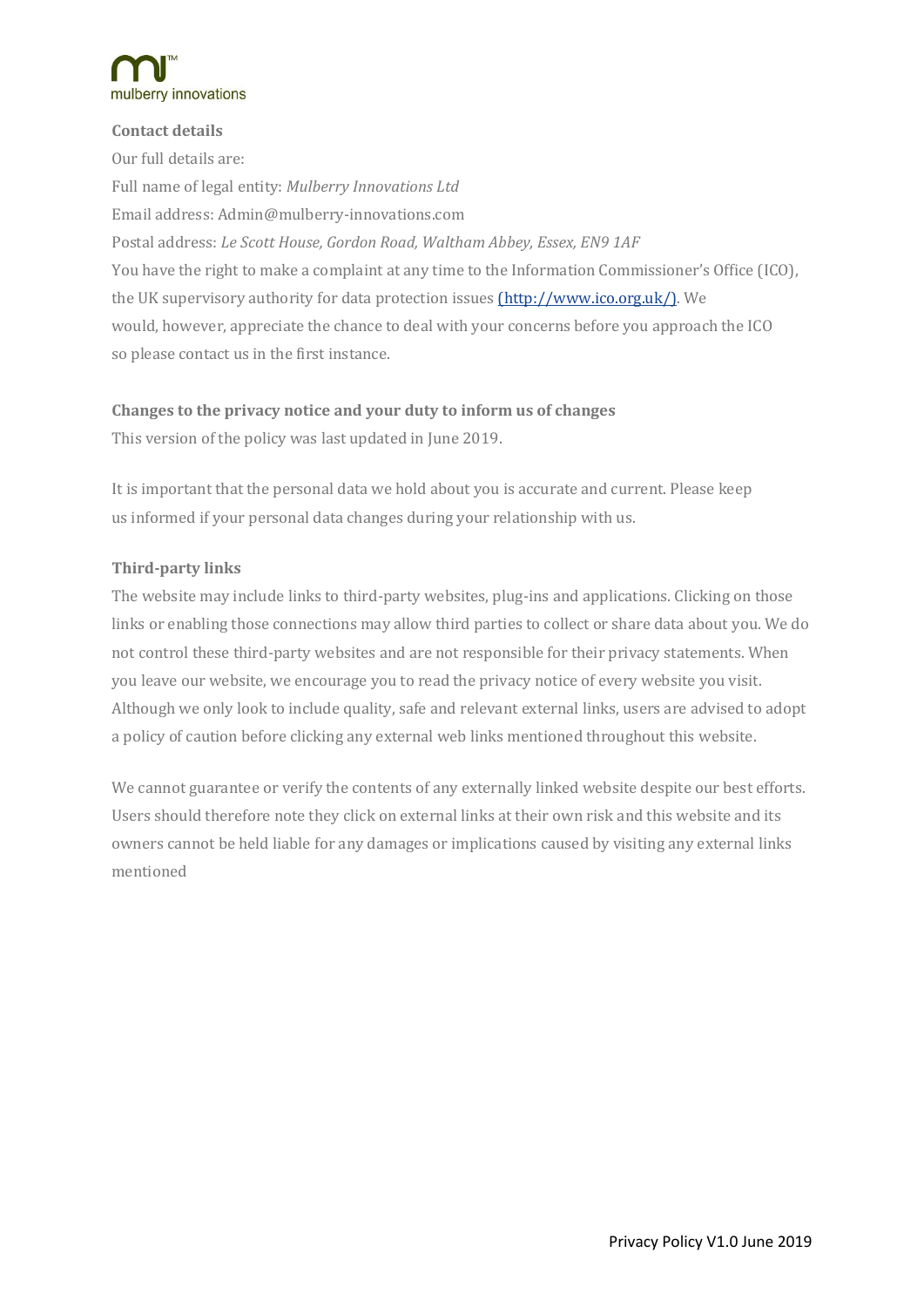

#### **Contact details**

Our full details are: Full name of legal entity: *Mulberry Innovations Ltd* Email address: Admin@mulberry-innovations.com Postal address: *Le Scott House, Gordon Road, Waltham Abbey, Essex, EN9 1AF* You have the right to make a complaint at any time to the Information Commissioner's Office (ICO), the UK supervisory authority for data protection issues [\(http://www.ico.org.uk/\).](https://ico.org.uk/) We would, however, appreciate the chance to deal with your concerns before you approach the ICO so please contact us in the first instance.

#### **Changes to the privacy notice and your duty to inform us of changes**

This version of the policy was last updated in June 2019.

It is important that the personal data we hold about you is accurate and current. Please keep us informed if your personal data changes during your relationship with us.

#### **Third-party links**

The website may include links to third-party websites, plug-ins and applications. Clicking on those links or enabling those connections may allow third parties to collect or share data about you. We do not control these third-party websites and are not responsible for their privacy statements. When you leave our website, we encourage you to read the privacy notice of every website you visit. Although we only look to include quality, safe and relevant external links, users are advised to adopt a policy of caution before clicking any external web links mentioned throughout this website.

We cannot guarantee or verify the contents of any externally linked website despite our best efforts. Users should therefore note they click on external links at their own risk and this website and its owners cannot be held liable for any damages or implications caused by visiting any external links mentioned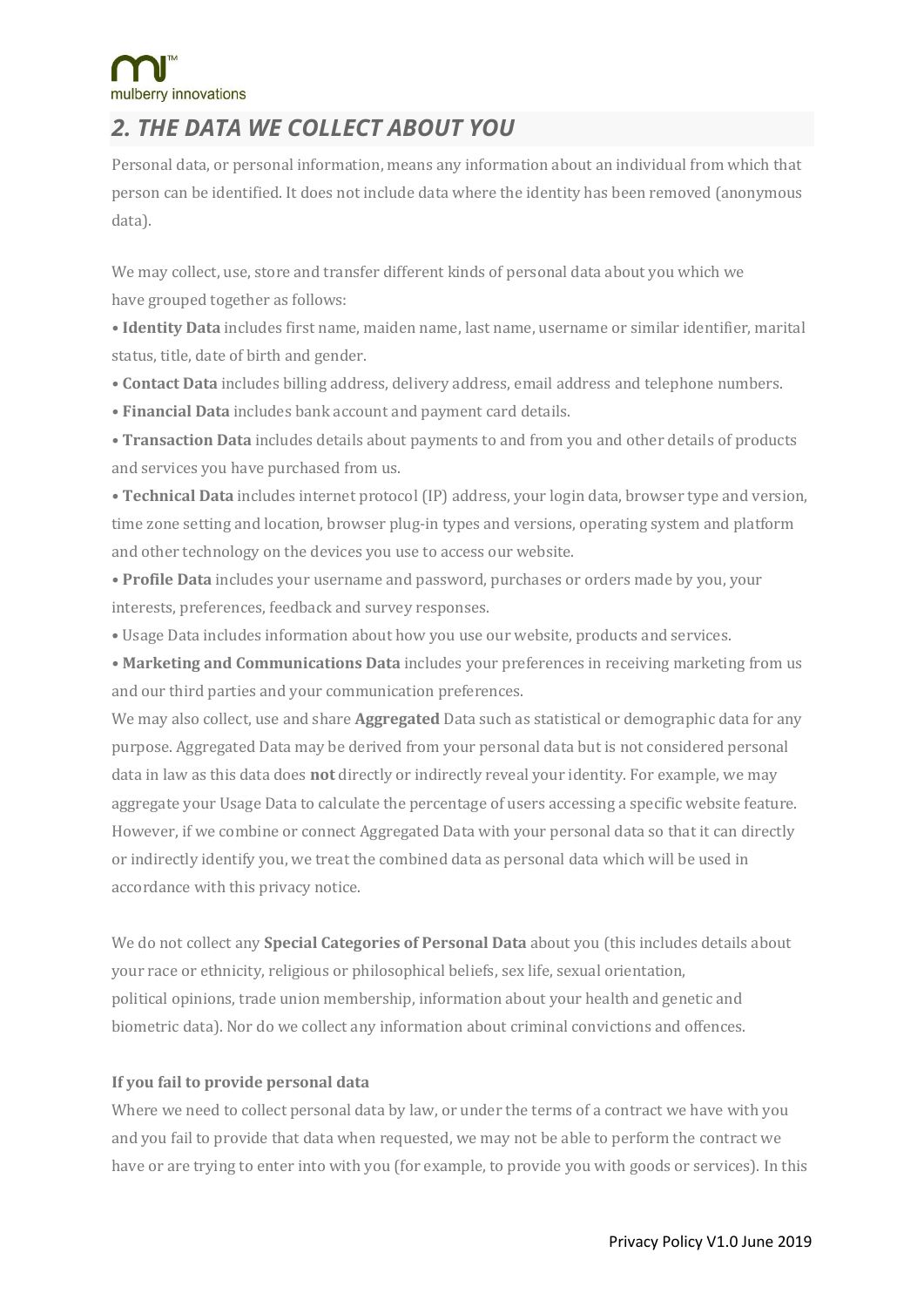

# *2. THE DATA WE [COLLECT](https://www.ramonhygiene.co.uk/privacy-policy-2/#1534499260698-ab8a449e-5dc5) ABOUT YOU*

Personal data, or personal information, means any information about an individual from which that person can be identified. It does not include data where the identity has been removed (anonymous data).

We may collect, use, store and transfer different kinds of personal data about you which we have grouped together as follows:

**• Identity Data** includes first name, maiden name, last name, username or similar identifier, marital status, title, date of birth and gender.

- **Contact Data** includes billing address, delivery address, email address and telephone numbers.
- **Financial Data** includes bank account and payment card details.

**• Transaction Data** includes details about payments to and from you and other details of products and services you have purchased from us.

**• Technical Data** includes internet protocol (IP) address, your login data, browser type and version, time zone setting and location, browser plug-in types and versions, operating system and platform and other technology on the devices you use to access our website.

**• Profile Data** includes your username and password, purchases or orders made by you, your interests, preferences, feedback and survey responses.

• Usage Data includes information about how you use our website, products and services.

**• Marketing and Communications Data** includes your preferences in receiving marketing from us and our third parties and your communication preferences.

We may also collect, use and share **Aggregated** Data such as statistical or demographic data for any purpose. Aggregated Data may be derived from your personal data but is not considered personal data in law as this data does **not** directly or indirectly reveal your identity. For example, we may aggregate your Usage Data to calculate the percentage of users accessing a specific website feature. However, if we combine or connect Aggregated Data with your personal data so that it can directly or indirectly identify you, we treat the combined data as personal data which will be used in accordance with this privacy notice.

We do not collect any **Special Categories of Personal Data** about you (this includes details about your race or ethnicity, religious or philosophical beliefs, sex life, sexual orientation, political opinions, trade union membership, information about your health and genetic and biometric data). Nor do we collect any information about criminal convictions and offences.

### **If you fail to provide personal data**

Where we need to collect personal data by law, or under the terms of a contract we have with you and you fail to provide that data when requested, we may not be able to perform the contract we have or are trying to enter into with you (for example, to provide you with goods or services). In this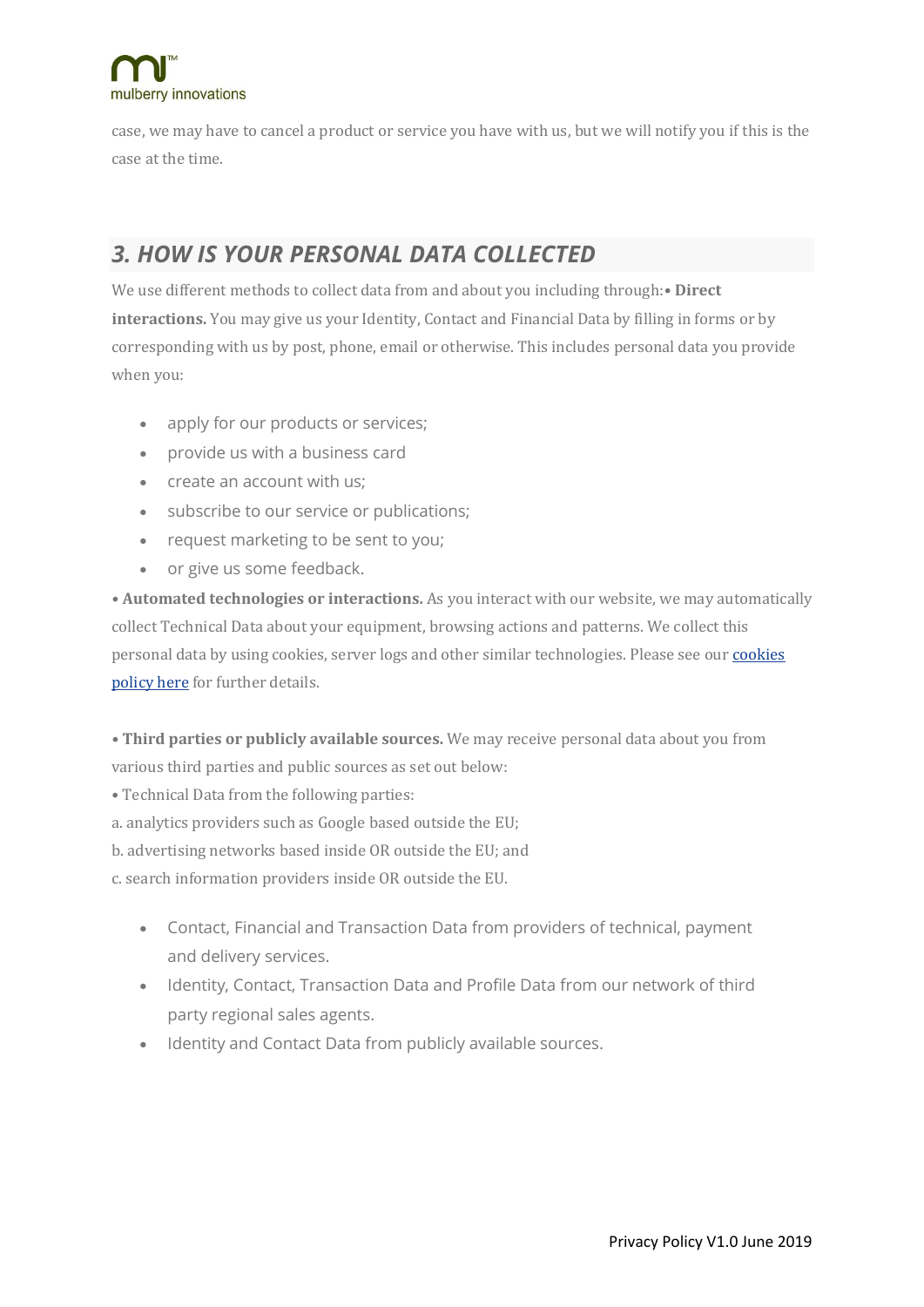

case, we may have to cancel a product or service you have with us, but we will notify you if this is the case at the time.

### *3. HOW IS YOUR PERSONAL DATA [COLLECTED](https://www.ramonhygiene.co.uk/privacy-policy-2/#1534499839137-c4b37a2e-e3d5)*

We use different methods to collect data from and about you including through:**• Direct interactions.** You may give us your Identity, Contact and Financial Data by filling in forms or by corresponding with us by post, phone, email or otherwise. This includes personal data you provide when you:

- apply for our products or services;
- provide us with a business card
- create an account with us;
- subscribe to our service or publications;
- request marketing to be sent to you;
- or give us some feedback.

**• Automated technologies or interactions.** As you interact with our website, we may automatically collect Technical Data about your equipment, browsing actions and patterns. We collect this personal data by using cookies, server logs and other similar technologies. Please see our [cookies](http://new.ramonhygiene.co.uk/cookies-policy/)  [policy here](http://new.ramonhygiene.co.uk/cookies-policy/) for further details.

**• Third parties or publicly available sources.** We may receive personal data about you from various third parties and public sources as set out below:

• Technical Data from the following parties:

a. analytics providers such as Google based outside the EU;

b. advertising networks based inside OR outside the EU; and

c. search information providers inside OR outside the EU.

- Contact, Financial and Transaction Data from providers of technical, payment and delivery services.
- Identity, Contact, Transaction Data and Profile Data from our network of third party regional sales agents.
- Identity and Contact Data from publicly available sources.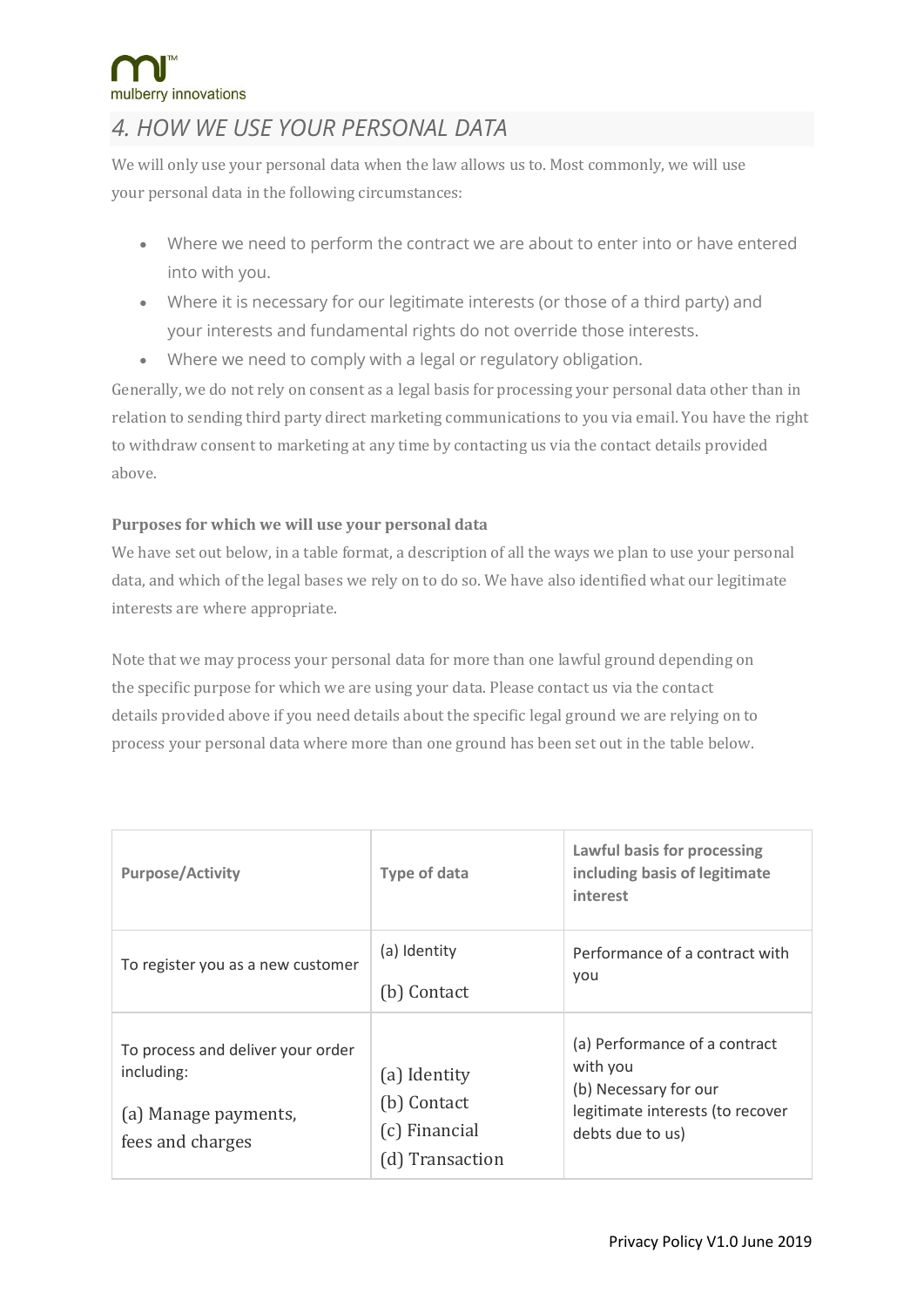

# *4. HOW WE USE YOUR [PERSONAL](https://www.ramonhygiene.co.uk/privacy-policy-2/#1534499977867-f283bbf2-d2f0) DATA*

We will only use your personal data when the law allows us to. Most commonly, we will use your personal data in the following circumstances:

- Where we need to perform the contract we are about to enter into or have entered into with you.
- Where it is necessary for our legitimate interests (or those of a third party) and your interests and fundamental rights do not override those interests.
- Where we need to comply with a legal or regulatory obligation.

Generally, we do not rely on consent as a legal basis for processing your personal data other than in relation to sending third party direct marketing communications to you via email. You have the right to withdraw consent to marketing at any time by contacting us via the contact details provided above.

### **Purposes for which we will use your personal data**

We have set out below, in a table format, a description of all the ways we plan to use your personal data, and which of the legal bases we rely on to do so. We have also identified what our legitimate interests are where appropriate.

Note that we may process your personal data for more than one lawful ground depending on the specific purpose for which we are using your data. Please contact us via the contact details provided above if you need details about the specific legal ground we are relying on to process your personal data where more than one ground has been set out in the table below.

| <b>Purpose/Activity</b>                                                                     | <b>Type of data</b>                                             | Lawful basis for processing<br>including basis of legitimate<br>interest                                                   |
|---------------------------------------------------------------------------------------------|-----------------------------------------------------------------|----------------------------------------------------------------------------------------------------------------------------|
| To register you as a new customer                                                           | (a) Identity<br>(b) Contact                                     | Performance of a contract with<br>you                                                                                      |
| To process and deliver your order<br>including:<br>(a) Manage payments,<br>fees and charges | (a) Identity<br>(b) Contact<br>(c) Financial<br>(d) Transaction | (a) Performance of a contract<br>with you<br>(b) Necessary for our<br>legitimate interests (to recover<br>debts due to us) |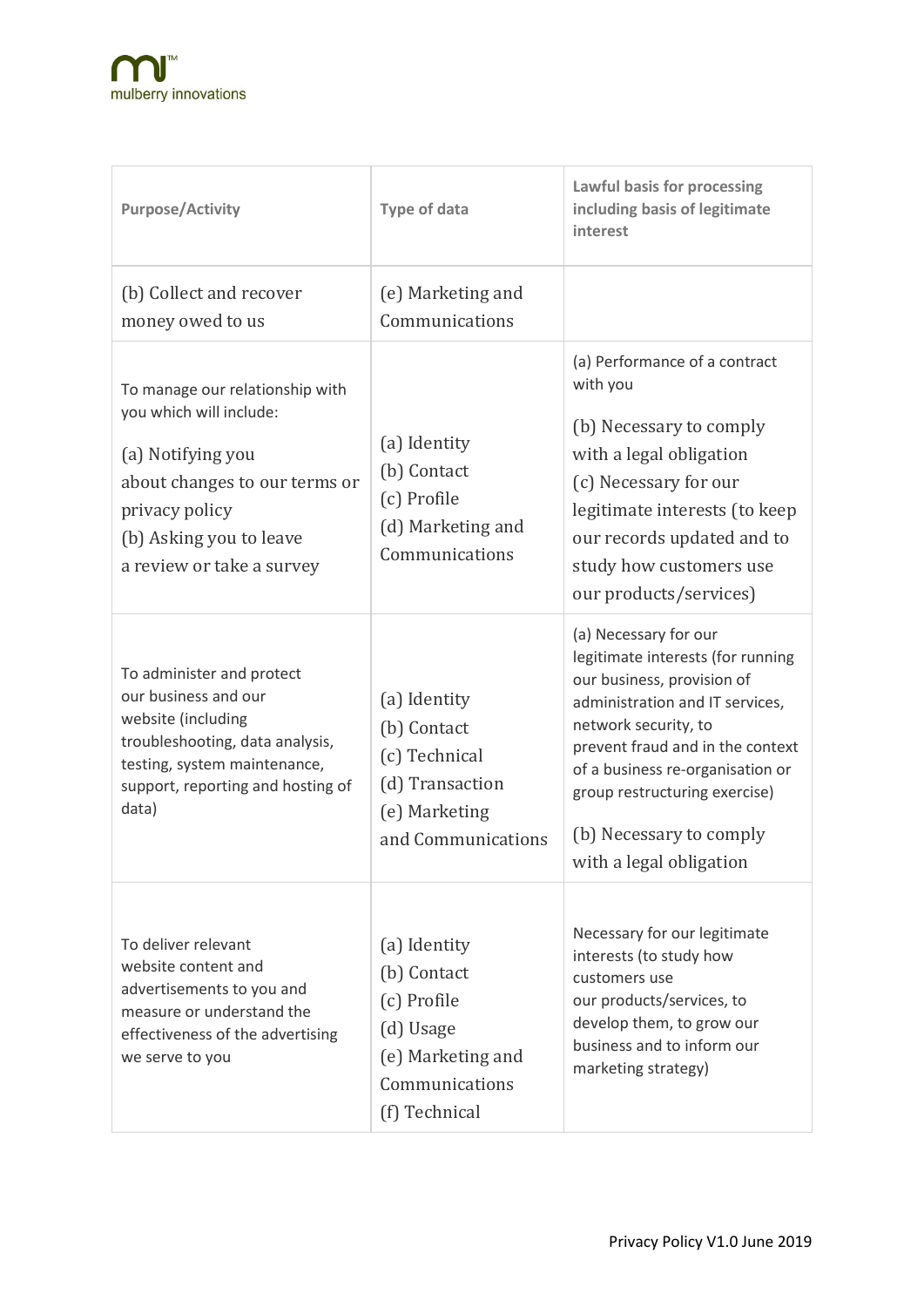

| <b>Purpose/Activity</b>                                                                                                                                                                    | <b>Type of data</b>                                                                                             | Lawful basis for processing<br>including basis of legitimate<br>interest                                                                                                                                                                                                                                           |
|--------------------------------------------------------------------------------------------------------------------------------------------------------------------------------------------|-----------------------------------------------------------------------------------------------------------------|--------------------------------------------------------------------------------------------------------------------------------------------------------------------------------------------------------------------------------------------------------------------------------------------------------------------|
| (b) Collect and recover<br>money owed to us                                                                                                                                                | (e) Marketing and<br>Communications                                                                             |                                                                                                                                                                                                                                                                                                                    |
| To manage our relationship with<br>you which will include:<br>(a) Notifying you<br>about changes to our terms or<br>privacy policy<br>(b) Asking you to leave<br>a review or take a survey | (a) Identity<br>(b) Contact<br>(c) Profile<br>(d) Marketing and<br>Communications                               | (a) Performance of a contract<br>with you<br>(b) Necessary to comply<br>with a legal obligation<br>(c) Necessary for our<br>legitimate interests (to keep<br>our records updated and to<br>study how customers use<br>our products/services)                                                                       |
| To administer and protect<br>our business and our<br>website (including<br>troubleshooting, data analysis,<br>testing, system maintenance,<br>support, reporting and hosting of<br>data)   | (a) Identity<br>(b) Contact<br>(c) Technical<br>(d) Transaction<br>(e) Marketing<br>and Communications          | (a) Necessary for our<br>legitimate interests (for running<br>our business, provision of<br>administration and IT services,<br>network security, to<br>prevent fraud and in the context<br>of a business re-organisation or<br>group restructuring exercise)<br>(b) Necessary to comply<br>with a legal obligation |
| To deliver relevant<br>website content and<br>advertisements to you and<br>measure or understand the<br>effectiveness of the advertising<br>we serve to you                                | (a) Identity<br>(b) Contact<br>(c) Profile<br>(d) Usage<br>(e) Marketing and<br>Communications<br>(f) Technical | Necessary for our legitimate<br>interests (to study how<br>customers use<br>our products/services, to<br>develop them, to grow our<br>business and to inform our<br>marketing strategy)                                                                                                                            |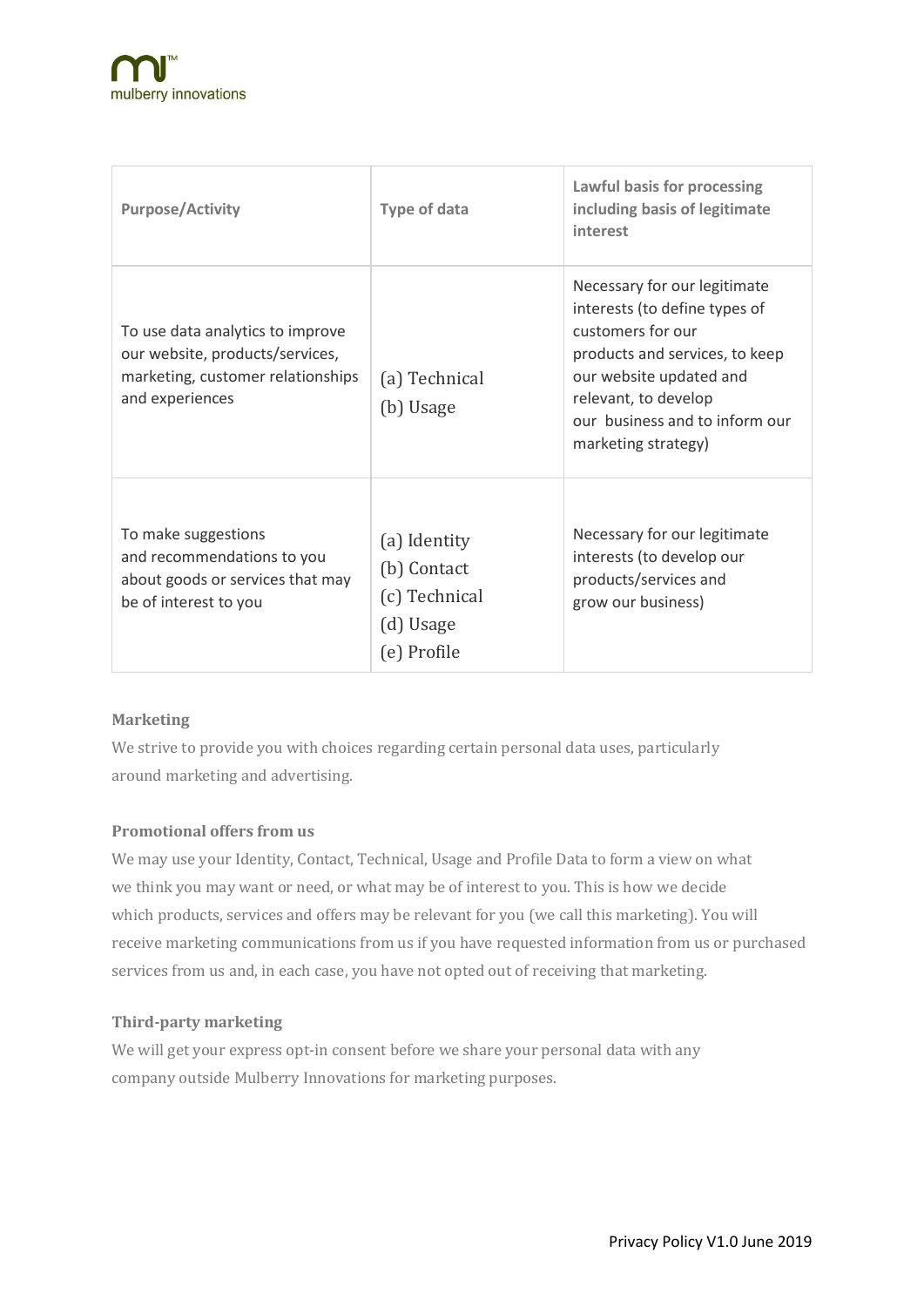| <b>Purpose/Activity</b>                                                                                                     | Type of data                                                             | Lawful basis for processing<br>including basis of legitimate<br>interest                                                                                                                                                         |
|-----------------------------------------------------------------------------------------------------------------------------|--------------------------------------------------------------------------|----------------------------------------------------------------------------------------------------------------------------------------------------------------------------------------------------------------------------------|
| To use data analytics to improve<br>our website, products/services,<br>marketing, customer relationships<br>and experiences | (a) Technical<br>(b) Usage                                               | Necessary for our legitimate<br>interests (to define types of<br>customers for our<br>products and services, to keep<br>our website updated and<br>relevant, to develop<br>our business and to inform our<br>marketing strategy) |
| To make suggestions<br>and recommendations to you<br>about goods or services that may<br>be of interest to you              | (a) Identity<br>(b) Contact<br>(c) Technical<br>(d) Usage<br>(e) Profile | Necessary for our legitimate<br>interests (to develop our<br>products/services and<br>grow our business)                                                                                                                         |

#### **Marketing**

We strive to provide you with choices regarding certain personal data uses, particularly around marketing and advertising.

#### **Promotional offers from us**

We may use your Identity, Contact, Technical, Usage and Profile Data to form a view on what we think you may want or need, or what may be of interest to you. This is how we decide which products, services and offers may be relevant for you (we call this marketing). You will receive marketing communications from us if you have requested information from us or purchased services from us and, in each case, you have not opted out of receiving that marketing.

#### **Third-party marketing**

We will get your express opt-in consent before we share your personal data with any company outside Mulberry Innovations for marketing purposes.

T.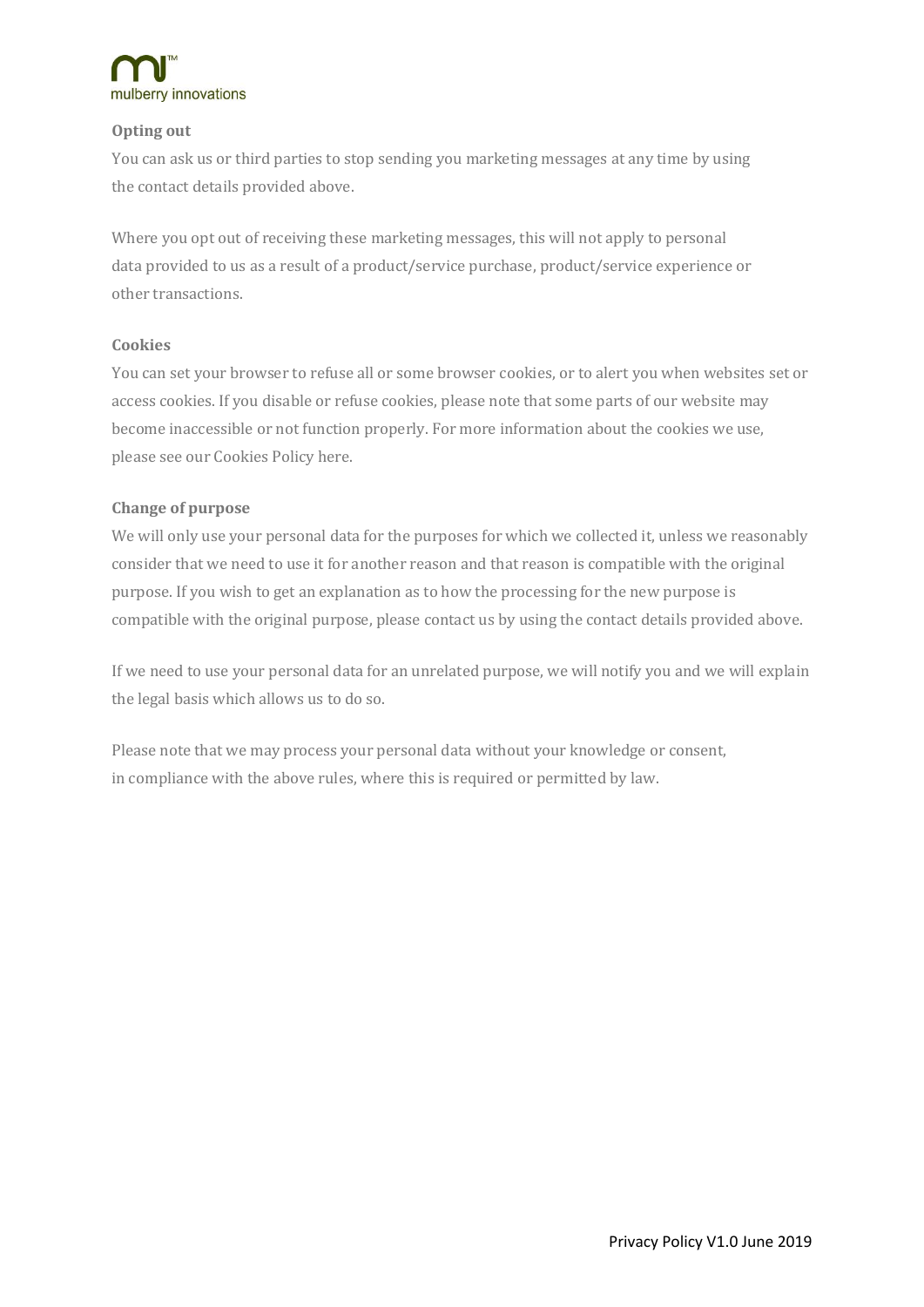

#### **Opting out**

You can ask us or third parties to stop sending you marketing messages at any time by using the contact details provided above.

Where you opt out of receiving these marketing messages, this will not apply to personal data provided to us as a result of a product/service purchase, product/service experience or other transactions.

#### **Cookies**

You can set your browser to refuse all or some browser cookies, or to alert you when websites set or access cookies. If you disable or refuse cookies, please note that some parts of our website may become inaccessible or not function properly. For more information about the cookies we use, please see our Cookies Policy here.

#### **Change of purpose**

We will only use your personal data for the purposes for which we collected it, unless we reasonably consider that we need to use it for another reason and that reason is compatible with the original purpose. If you wish to get an explanation as to how the processing for the new purpose is compatible with the original purpose, please contact us by using the contact details provided above.

If we need to use your personal data for an unrelated purpose, we will notify you and we will explain the legal basis which allows us to do so.

Please note that we may process your personal data without your knowledge or consent, in compliance with the above rules, where this is required or permitted by law.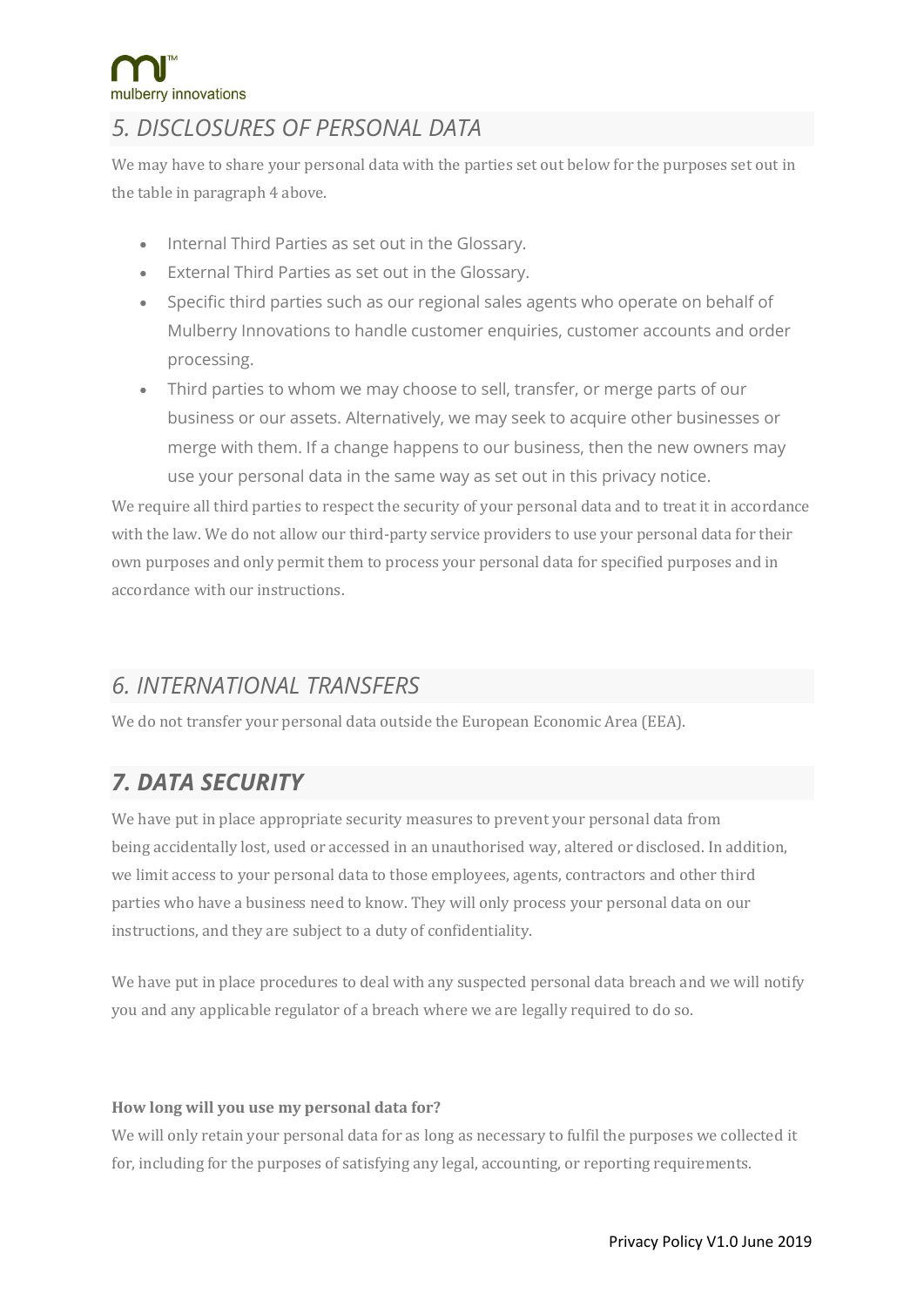

# *5. [DISCLOSURES](https://www.ramonhygiene.co.uk/privacy-policy-2/#1534502773321-61957f9c-2fbe) OF PERSONAL DATA*

We may have to share your personal data with the parties set out below for the purposes set out in the table in paragraph 4 above.

- Internal Third Parties as set out in the Glossary.
- External Third Parties as set out in the Glossary.
- Specific third parties such as our regional sales agents who operate on behalf of Mulberry Innovations to handle customer enquiries, customer accounts and order processing.
- Third parties to whom we may choose to sell, transfer, or merge parts of our business or our assets. Alternatively, we may seek to acquire other businesses or merge with them. If a change happens to our business, then the new owners may use your personal data in the same way as set out in this privacy notice.

We require all third parties to respect the security of your personal data and to treat it in accordance with the law. We do not allow our third-party service providers to use your personal data for their own purposes and only permit them to process your personal data for specified purposes and in accordance with our instructions.

### *6. [INTERNATIONAL](https://www.ramonhygiene.co.uk/privacy-policy-2/#1534503114019-053e95bb-c040) TRANSFERS*

We do not transfer your personal data outside the European Economic Area (EEA).

# *7. DATA [SECURITY](https://www.ramonhygiene.co.uk/privacy-policy-2/#1534503152983-e96e4705-357d)*

We have put in place appropriate security measures to prevent your personal data from being accidentally lost, used or accessed in an unauthorised way, altered or disclosed. In addition, we limit access to your personal data to those employees, agents, contractors and other third parties who have a business need to know. They will only process your personal data on our instructions, and they are subject to a duty of confidentiality.

We have put in place procedures to deal with any suspected personal data breach and we will notify you and any applicable regulator of a breach where we are legally required to do so.

### **How long will you use my personal data for?**

We will only retain your personal data for as long as necessary to fulfil the purposes we collected it for, including for the purposes of satisfying any legal, accounting, or reporting requirements.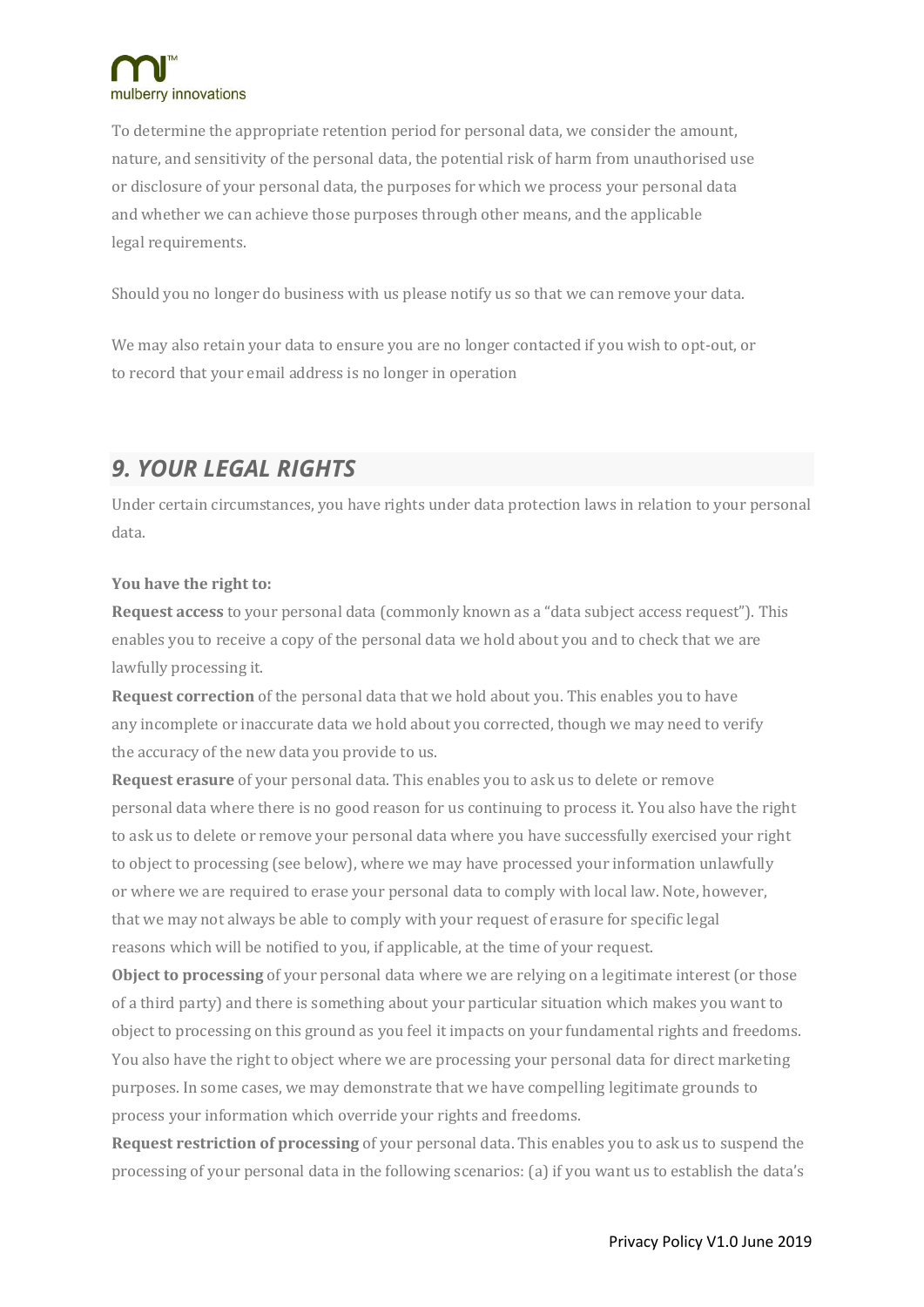

To determine the appropriate retention period for personal data, we consider the amount, nature, and sensitivity of the personal data, the potential risk of harm from unauthorised use or disclosure of your personal data, the purposes for which we process your personal data and whether we can achieve those purposes through other means, and the applicable legal requirements.

Should you no longer do business with us please notify us so that we can remove your data.

We may also retain your data to ensure you are no longer contacted if you wish to opt-out, or to record that your email address is no longer in operation

### *9. YOUR LEGAL [RIGHTS](https://www.ramonhygiene.co.uk/privacy-policy-2/#1534503381026-5800f6d1-efb7)*

Under certain circumstances, you have rights under data protection laws in relation to your personal data.

#### **You have the right to:**

**Request access** to your personal data (commonly known as a "data subject access request"). This enables you to receive a copy of the personal data we hold about you and to check that we are lawfully processing it.

**Request correction** of the personal data that we hold about you. This enables you to have any incomplete or inaccurate data we hold about you corrected, though we may need to verify the accuracy of the new data you provide to us.

**Request erasure** of your personal data. This enables you to ask us to delete or remove personal data where there is no good reason for us continuing to process it. You also have the right to ask us to delete or remove your personal data where you have successfully exercised your right to object to processing (see below), where we may have processed your information unlawfully or where we are required to erase your personal data to comply with local law. Note, however, that we may not always be able to comply with your request of erasure for specific legal reasons which will be notified to you, if applicable, at the time of your request.

**Object to processing** of your personal data where we are relying on a legitimate interest (or those of a third party) and there is something about your particular situation which makes you want to object to processing on this ground as you feel it impacts on your fundamental rights and freedoms. You also have the right to object where we are processing your personal data for direct marketing purposes. In some cases, we may demonstrate that we have compelling legitimate grounds to process your information which override your rights and freedoms.

**Request restriction of processing** of your personal data. This enables you to ask us to suspend the processing of your personal data in the following scenarios: (a) if you want us to establish the data's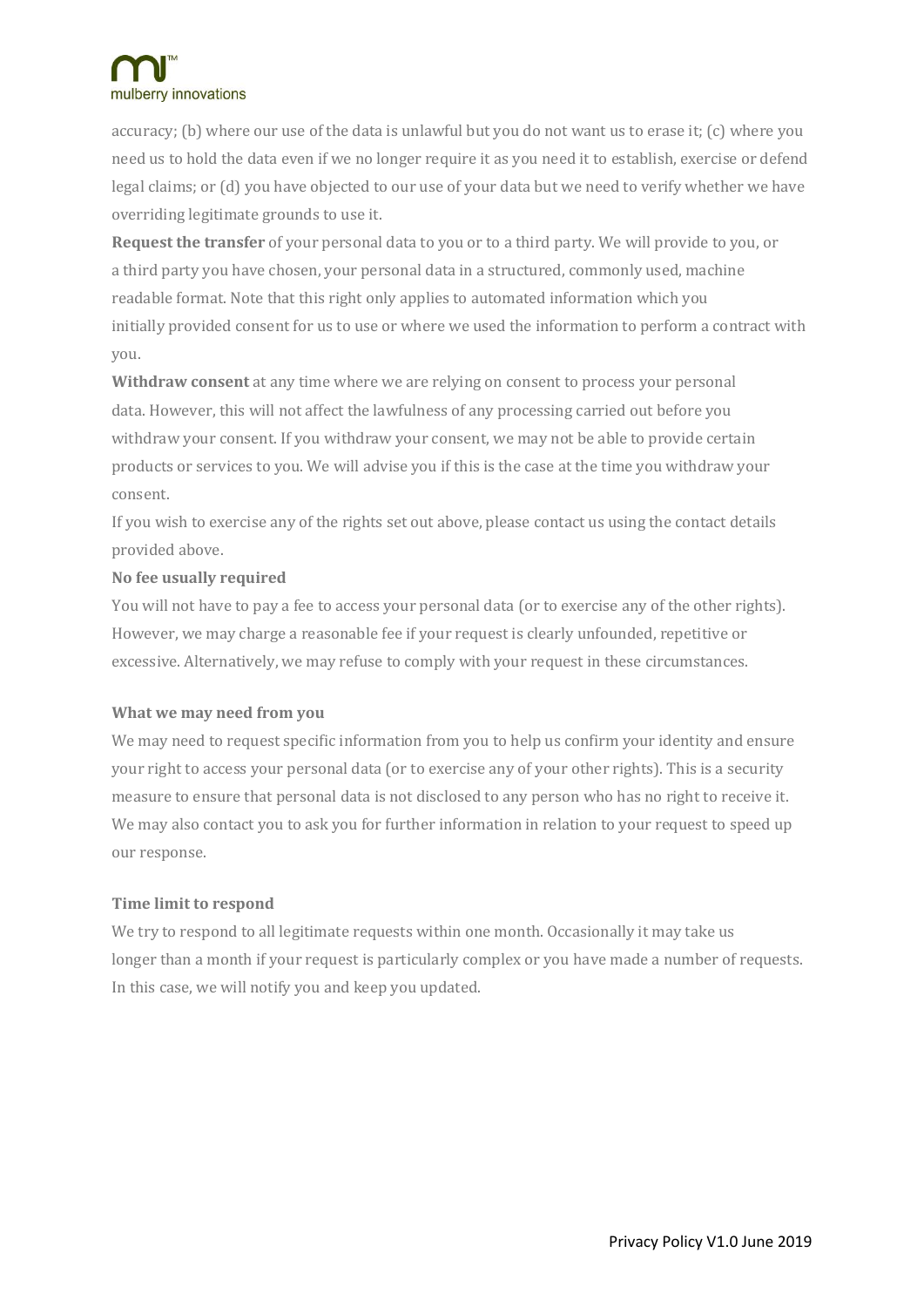

accuracy; (b) where our use of the data is unlawful but you do not want us to erase it; (c) where you need us to hold the data even if we no longer require it as you need it to establish, exercise or defend legal claims; or (d) you have objected to our use of your data but we need to verify whether we have overriding legitimate grounds to use it.

**Request the transfer** of your personal data to you or to a third party. We will provide to you, or a third party you have chosen, your personal data in a structured, commonly used, machine readable format. Note that this right only applies to automated information which you initially provided consent for us to use or where we used the information to perform a contract with you.

**Withdraw consent** at any time where we are relying on consent to process your personal data. However, this will not affect the lawfulness of any processing carried out before you withdraw your consent. If you withdraw your consent, we may not be able to provide certain products or services to you. We will advise you if this is the case at the time you withdraw your consent.

If you wish to exercise any of the rights set out above, please contact us using the contact details provided above.

#### **No fee usually required**

You will not have to pay a fee to access your personal data (or to exercise any of the other rights). However, we may charge a reasonable fee if your request is clearly unfounded, repetitive or excessive. Alternatively, we may refuse to comply with your request in these circumstances.

#### **What we may need from you**

We may need to request specific information from you to help us confirm your identity and ensure your right to access your personal data (or to exercise any of your other rights). This is a security measure to ensure that personal data is not disclosed to any person who has no right to receive it. We may also contact you to ask you for further information in relation to your request to speed up our response.

#### **Time limit to respond**

We try to respond to all legitimate requests within one month. Occasionally it may take us longer than a month if your request is particularly complex or you have made a number of requests. In this case, we will notify you and keep you updated.